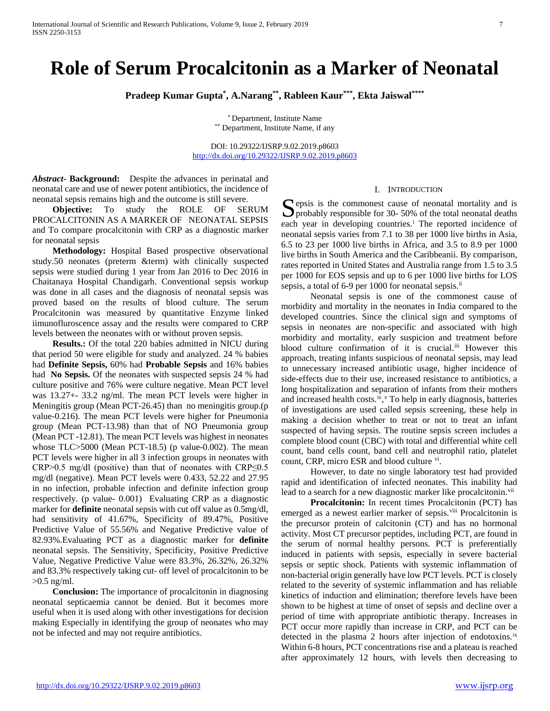# **Role of Serum Procalcitonin as a Marker of Neonatal**

**Pradeep Kumar Gupta\* , A.Narang\*\*, Rableen Kaur\*\*\*, Ekta Jaiswal\*\*\*\***

\* Department, Institute Name \*\* Department, Institute Name, if any

DOI: 10.29322/IJSRP.9.02.2019.p8603 <http://dx.doi.org/10.29322/IJSRP.9.02.2019.p8603>

*Abstract***- Background:** Despite the advances in perinatal and neonatal care and use of newer potent antibiotics, the incidence of neonatal sepsis remains high and the outcome is still severe.

 **Objective:** To study the ROLE OF SERUM PROCALCITONIN AS A MARKER OF NEONATAL SEPSIS and To compare procalcitonin with CRP as a diagnostic marker for neonatal sepsis

 **Methodology:** Hospital Based prospective observational study.50 neonates (preterm &term) with clinically suspected sepsis were studied during 1 year from Jan 2016 to Dec 2016 in Chaitanaya Hospital Chandigarh. Conventional sepsis workup was done in all cases and the diagnosis of neonatal sepsis was proved based on the results of blood culture. The serum Procalcitonin was measured by quantitative Enzyme linked iimunofluroscence assay and the results were compared to CRP levels between the neonates with or without proven sepsis.

 **Results.:** Of the total 220 babies admitted in NICU during that period 50 were eligible for study and analyzed. 24 % babies had **Definite Sepsis,** 60% had **Probable Sepsis** and 16% babies had **No Sepsis.** Of the neonates with suspected sepsis 24 % had culture positive and 76% were culture negative. Mean PCT level was 13.27+- 33.2 ng/ml. The mean PCT levels were higher in Meningitis group (Mean PCT-26.45) than no meningitis group.(p value-0.216). The mean PCT levels were higher for Pneumonia group (Mean PCT-13.98) than that of NO Pneumonia group (Mean PCT -12.81). The mean PCT levels was highest in neonates whose  $TLC > 5000$  (Mean PCT-18.5) (p value-0.002). The mean PCT levels were higher in all 3 infection groups in neonates with CRP>0.5 mg/dl (positive) than that of neonates with CRP≤0.5 mg/dl (negative). Mean PCT levels were 0.433, 52.22 and 27.95 in no infection, probable infection and definite infection group respectively. (p value- 0.001) Evaluating CRP as a diagnostic marker for **definite** neonatal sepsis with cut off value as 0.5mg/dl, had sensitivity of 41.67%, Specificity of 89.47%, Positive Predictive Value of 55.56% and Negative Predictive value of 82.93%.Evaluating PCT as a diagnostic marker for **definite**  neonatal sepsis. The Sensitivity, Specificity, Positive Predictive Value, Negative Predictive Value were 83.3%, 26.32%, 26.32% and 83.3% respectively taking cut- off level of procalcitonin to be >0.5 ng/ml.

 **Conclusion:** The importance of procalcitonin in diagnosing neonatal septicaemia cannot be denied. But it becomes more useful when it is used along with other investigations for decision making Especially in identifying the group of neonates who may not be infected and may not require antibiotics.

#### <span id="page-0-0"></span>I. INTRODUCTION

Sepsis is the commonest cause of neonatal mortality and is<br>probably responsible for 30- 50% of the total neonatal deaths  $\Box$  probably responsible for 30- 50% of the total neonatal deaths each year [i](#page-5-0)n developing countries.<sup>i</sup> The reported incidence of neonatal sepsis varies from 7.1 to 38 per 1000 live births in Asia, 6.5 to 23 per 1000 live births in Africa, and 3.5 to 8.9 per 1000 live births in South America and the Caribbea[nii.](#page-0-0) By comparison, rates reported in United States and Australia range from 1.5 to 3.5 per 1000 for EOS sepsis and up to 6 per 1000 live births for LOS sepsis, a total of 6-9 per 1000 for neonatal sepsis.<sup>ii</sup>

 Neonatal sepsis is one of the commonest cause of morbidity and mortality in the neonates in India compared to the developed countries. Since the clinical sign and symptoms of sepsis in neonates are non-specific and associated with high morbidity and mortality, early suspicion and treatment before blood culture confirmation of it is crucial.<sup>[iii](#page-5-2)</sup> However this approach, treating infants suspicious of neonatal sepsis, may lead to unnecessary increased antibiotic usage, higher incidence of side-effects due to their use, increased resistance to antibiotics, a long hospitalization and separation of infants from their mothers and increased health costs.<sup>[iv](#page-5-3)</sup>, <sup>[v](#page-5-4)</sup> To help in early diagnosis, batteries of investigations are used called sepsis screening, these help in making a decision whether to treat or not to treat an infant suspected of having sepsis. The routine sepsis screen includes a complete blood count (CBC) with total and differential white cell count, band cells count, band cell and neutrophil ratio, platelet count, CRP, micro ESR and blood culture [vi](#page-5-5).

<span id="page-0-1"></span> However, to date no single laboratory test had provided rapid and identification of infected neonates. This inability had lead to a search for a new diagnostic marker like procalcitonin.<sup>[vii](#page-5-6)</sup>

 **Procalcitonin:** In recent times Procalcitonin (PCT) has emerged as a newest earlier marker of sepsis.<sup>[viii](#page-5-7)</sup> Procalcitonin is the precursor protein of calcitonin (CT) and has no hormonal activity. Most CT precursor peptides, including PCT, are found in the serum of normal healthy persons. PCT is preferentially induced in patients with sepsis, especially in severe bacterial sepsis or septic shock. Patients with systemic inflammation of non-bacterial origin generally have low PCT levels. PCT is closely related to the severity of systemic inflammation and has reliable kinetics of induction and elimination; therefore levels have been shown to be highest at time of onset of sepsis and decline over a period of time with appropriate antibiotic therapy. Increases in PCT occur more rapidly than increase in CRP, and PCT can be detected in the plasma 2 hours after injection of endotoxins.<sup>[ix](#page-5-8)</sup> Within 6-8 hours, PCT concentrations rise and a plateau is reached after approximately 12 hours, with levels then decreasing to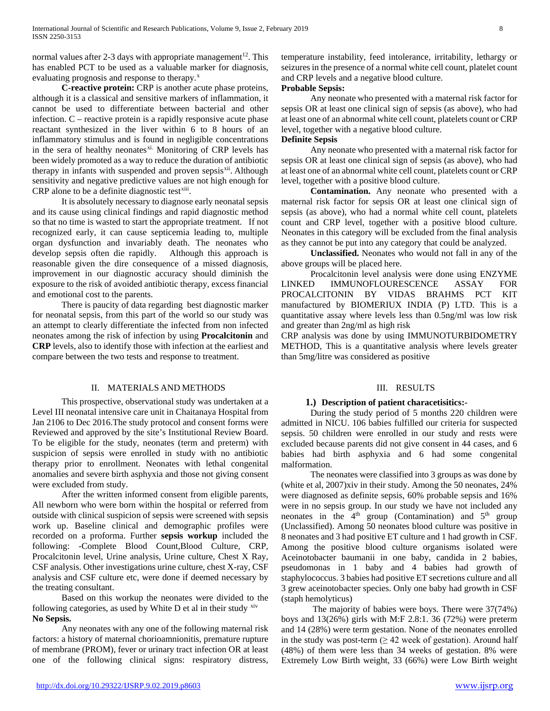normal values after 2-3 days with appropriate management<sup>12</sup>. This has enabled PCT to be used as a valuable marker for diagnosis, evaluating prognosis and response to therapy.<sup>[x](#page-6-0)</sup>

 **C-reactive protein:** CRP is another acute phase proteins, although it is a classical and sensitive markers of inflammation, it cannot be used to differentiate between bacterial and other infection. C – reactive protein is a rapidly responsive acute phase reactant synthesized in the liver within 6 to 8 hours of an inflammatory stimulus and is found in negligible concentrations in the sera of healthy neonates[xi](#page-6-1). Monitoring of CRP levels has been widely promoted as a way to reduce the duration of antibiotic therapy in infants with suspended and proven sepsis<sup>[xii](#page-6-2)</sup>. Although sensitivity and negative predictive values are not high enough for  $CRP$  alone to be a definite diagnostic test $\frac{1}{x}$ .

 It is absolutely necessary to diagnose early neonatal sepsis and its cause using clinical findings and rapid diagnostic method so that no time is wasted to start the appropriate treatment. If not recognized early, it can cause septicemia leading to, multiple organ dysfunction and invariably death. The neonates who develop sepsis often die rapidly. Although this approach is reasonable given the dire consequence of a missed diagnosis, improvement in our diagnostic accuracy should diminish the exposure to the risk of avoided antibiotic therapy, excess financial and emotional cost to the parents.

 There is paucity of data regarding best diagnostic marker for neonatal sepsis, from this part of the world so our study was an attempt to clearly differentiate the infected from non infected neonates among the risk of infection by using **Procalcitonin** and **CRP** levels, also to identify those with infection at the earliest and compare between the two tests and response to treatment.

## II. MATERIALS AND METHODS

 This prospective, observational study was undertaken at a Level III neonatal intensive care unit in Chaitanaya Hospital from Jan 2106 to Dec 2016.The study protocol and consent forms were Reviewed and approved by the site's Institutional Review Board. To be eligible for the study, neonates (term and preterm) with suspicion of sepsis were enrolled in study with no antibiotic therapy prior to enrollment. Neonates with lethal congenital anomalies and severe birth asphyxia and those not giving consent were excluded from study.

 After the written informed consent from eligible parents, All newborn who were born within the hospital or referred from outside with clinical suspicion of sepsis were screened with sepsis work up. Baseline clinical and demographic profiles were recorded on a proforma. Further **sepsis workup** included the following: -Complete Blood Count,Blood Culture, CRP, Procalcitonin level, Urine analysis, Urine culture, Chest X Ray, CSF analysis. Other investigations urine culture, chest X-ray, CSF analysis and CSF culture etc, were done if deemed necessary by the treating consultant.

 Based on this workup the neonates were divided to the following categories, as used by White  $D$  et al in their study  $x^{\text{iv}}$ **No Sepsis.**

 Any neonates with any one of the following maternal risk factors: a history of maternal chorioamnionitis, premature rupture of membrane (PROM), fever or urinary tract infection OR at least one of the following clinical signs: respiratory distress,

temperature instability, feed intolerance, irritability, lethargy or seizures in the presence of a normal white cell count, platelet count and CRP levels and a negative blood culture.

#### **Probable Sepsis:**

 Any neonate who presented with a maternal risk factor for sepsis OR at least one clinical sign of sepsis (as above), who had at least one of an abnormal white cell count, platelets count or CRP level, together with a negative blood culture.

#### **Definite Sepsis**

 Any neonate who presented with a maternal risk factor for sepsis OR at least one clinical sign of sepsis (as above), who had at least one of an abnormal white cell count, platelets count or CRP level, together with a positive blood culture.

 **Contamination.** Any neonate who presented with a maternal risk factor for sepsis OR at least one clinical sign of sepsis (as above), who had a normal white cell count, platelets count and CRP level, together with a positive blood culture. Neonates in this category will be excluded from the final analysis as they cannot be put into any category that could be analyzed.

 **Unclassified.** Neonates who would not fall in any of the above groups will be placed here.

 Procalcitonin level analysis were done using ENZYME LINKED IMMUNOFLOURESCENCE ASSAY FOR PROCALCITONIN BY VIDAS BRAHMS PCT KIT manufactured by BIOMERIUX INDIA (P) LTD. This is a quantitative assay where levels less than 0.5ng/ml was low risk and greater than 2ng/ml as high risk

CRP analysis was done by using IMMUNOTURBIDOMETRY METHOD, This is a quantitative analysis where levels greater than 5mg/litre was considered as positive

## III. RESULTS

## **1.) Description of patient characetisitics:-**

 During the study period of 5 months 220 children were admitted in NICU. 106 babies fulfilled our criteria for suspected sepsis. 50 children were enrolled in our study and rests were excluded because parents did not give consent in 44 cases, and 6 babies had birth asphyxia and 6 had some congenital malformation.

 The neonates were classified into 3 groups as was done by (white et al, 2007[\)xiv](#page-1-0) in their study. Among the 50 neonates, 24% were diagnosed as definite sepsis, 60% probable sepsis and 16% were in no sepsis group. In our study we have not included any neonates in the  $4<sup>th</sup>$  group (Contamination) and  $5<sup>th</sup>$  group (Unclassified). Among 50 neonates blood culture was positive in 8 neonates and 3 had positive ET culture and 1 had growth in CSF. Among the positive blood culture organisms isolated were Aceinotobacter baumanii in one baby, candida in 2 babies, pseudomonas in 1 baby and 4 babies had growth of staphylococcus. 3 babies had positive ET secretions culture and all 3 grew aceinotobacter species. Only one baby had growth in CSF (staph hemolyticus)

<span id="page-1-0"></span> The majority of babies were boys. There were 37(74%) boys and 13(26%) girls with M:F 2.8:1. 36 (72%) were preterm and 14 (28%) were term gestation. None of the neonates enrolled in the study was post-term  $(≥ 42$  week of gestation). Around half (48%) of them were less than 34 weeks of gestation. 8% were Extremely Low Birth weight, 33 (66%) were Low Birth weight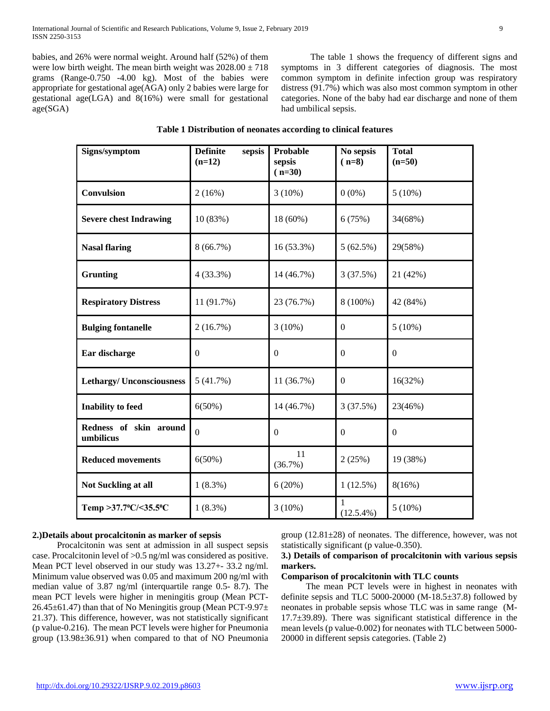babies, and 26% were normal weight. Around half (52%) of them were low birth weight. The mean birth weight was  $2028.00 \pm 718$ grams (Range-0.750 -4.00 kg). Most of the babies were appropriate for gestational age(AGA) only 2 babies were large for gestational age(LGA) and 8(16%) were small for gestational age(SGA)

 The table 1 shows the frequency of different signs and symptoms in 3 different categories of diagnosis. The most common symptom in definite infection group was respiratory distress (91.7%) which was also most common symptom in other categories. None of the baby had ear discharge and none of them had umbilical sepsis.

| Table 1 Distribution of neonates according to clinical features |  |  |  |
|-----------------------------------------------------------------|--|--|--|
|-----------------------------------------------------------------|--|--|--|

| Signs/symptom                       | <b>Definite</b><br>sepsis<br>$(n=12)$ | <b>Probable</b><br>sepsis<br>$(n=30)$ | No sepsis<br>$(n=8)$ | <b>Total</b><br>$(n=50)$ |
|-------------------------------------|---------------------------------------|---------------------------------------|----------------------|--------------------------|
| <b>Convulsion</b>                   | 2(16%)                                | $3(10\%)$                             | $0(0\%)$             | 5(10%)                   |
| <b>Severe chest Indrawing</b>       | 10(83%)                               | 18 (60%)                              | 6(75%)               | 34(68%)                  |
| <b>Nasal flaring</b>                | 8(66.7%)                              | 16 (53.3%)                            | 5(62.5%)             | 29(58%)                  |
| <b>Grunting</b>                     | 4(33.3%)                              | 14 (46.7%)                            | 3(37.5%)             | 21 (42%)                 |
| <b>Respiratory Distress</b>         | 11 (91.7%)                            | 23 (76.7%)                            | 8 (100%)             | 42 (84%)                 |
| <b>Bulging fontanelle</b>           | 2(16.7%)                              | $3(10\%)$                             | $\Omega$             | $5(10\%)$                |
| Ear discharge                       | $\boldsymbol{0}$                      | $\boldsymbol{0}$                      | $\boldsymbol{0}$     | $\boldsymbol{0}$         |
| <b>Lethargy/Unconsciousness</b>     | 5(41.7%)                              | 11 (36.7%)                            | $\mathbf{0}$         | 16(32%)                  |
| <b>Inability</b> to feed            | $6(50\%)$                             | 14 (46.7%)                            | 3(37.5%)             | 23(46%)                  |
| Redness of skin around<br>umbilicus | $\overline{0}$                        | $\Omega$                              | $\Omega$             | $\boldsymbol{0}$         |
| <b>Reduced movements</b>            | $6(50\%)$                             | 11<br>(36.7%)                         | 2(25%)               | 19 (38%)                 |
| Not Suckling at all                 | $1(8.3\%)$                            | 6(20%)                                | $1(12.5\%)$          | 8(16%)                   |
| Temp >37.7°C/<35.5°C                | $1(8.3\%)$                            | $3(10\%)$                             | 1<br>$(12.5.4\%)$    | $5(10\%)$                |

## **2.)Details about procalcitonin as marker of sepsis**

 Procalcitonin was sent at admission in all suspect sepsis case. Procalcitonin level of >0.5 ng/ml was considered as positive. Mean PCT level observed in our study was 13.27+- 33.2 ng/ml. Minimum value observed was 0.05 and maximum 200 ng/ml with median value of 3.87 ng/ml (interquartile range 0.5- 8.7). The mean PCT levels were higher in meningitis group (Mean PCT-26.45±61.47) than that of No Meningitis group (Mean PCT-9.97± 21.37). This difference, however, was not statistically significant (p value-0.216). The mean PCT levels were higher for Pneumonia group (13.98±36.91) when compared to that of NO Pneumonia group  $(12.81\pm28)$  of neonates. The difference, however, was not statistically significant (p value-0.350).

## **3.) Details of comparison of procalcitonin with various sepsis markers.**

## **Comparison of procalcitonin with TLC counts**

 The mean PCT levels were in highest in neonates with definite sepsis and TLC 5000-20000 (M-18.5 $\pm$ 37.8) followed by neonates in probable sepsis whose TLC was in same range (M-17.7±39.89). There was significant statistical difference in the mean levels (p value-0.002) for neonates with TLC between 5000- 20000 in different sepsis categories. (Table 2)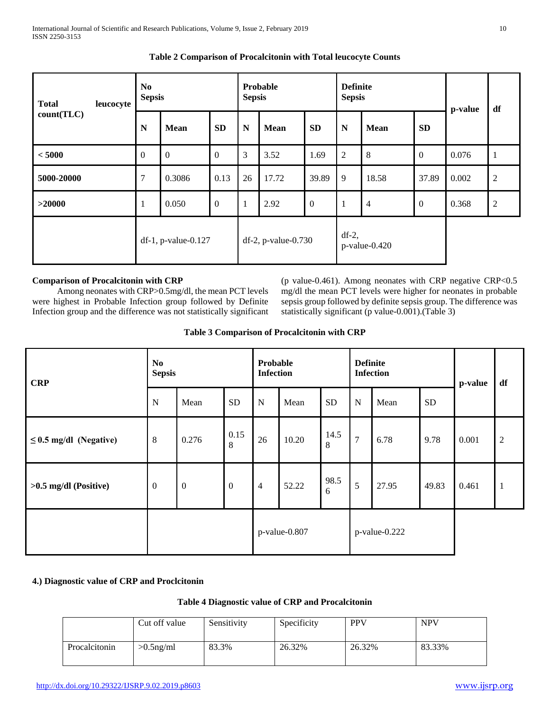| <b>Total</b><br>leucocyte | N <sub>0</sub><br><b>Sepsis</b> |                        | Probable<br><b>Sepsis</b> |                        | <b>Definite</b><br><b>Sepsis</b> |                |                              | p-value        | df               |       |                |
|---------------------------|---------------------------------|------------------------|---------------------------|------------------------|----------------------------------|----------------|------------------------------|----------------|------------------|-------|----------------|
| count(TLC)                | N                               | <b>Mean</b>            | <b>SD</b>                 | N                      | <b>Mean</b>                      | <b>SD</b>      | ${\bf N}$                    | <b>Mean</b>    | <b>SD</b>        |       |                |
| < 5000                    | $\overline{0}$                  | $\Omega$               | $\mathbf{0}$              | 3                      | 3.52                             | 1.69           | 2                            | 8              | $\Omega$         | 0.076 | -1             |
| 5000-20000                | $\overline{7}$                  | 0.3086                 | 0.13                      | 26                     | 17.72                            | 39.89          | 9                            | 18.58          | 37.89            | 0.002 | $\overline{2}$ |
| >20000                    | $\overline{1}$                  | 0.050                  | $\boldsymbol{0}$          | $\mathbf{I}$           | 2.92                             | $\overline{0}$ | $\mathbf{1}$                 | $\overline{4}$ | $\boldsymbol{0}$ | 0.368 | $\overline{2}$ |
|                           |                                 | $df-1$ , p-value-0.127 |                           | $df-2$ , p-value-0.730 |                                  |                | $df-2$ ,<br>$p$ -value-0.420 |                |                  |       |                |

## **Table 2 Comparison of Procalcitonin with Total leucocyte Counts**

## **Comparison of Procalcitonin with CRP**

 Among neonates with CRP>0.5mg/dl, the mean PCT levels were highest in Probable Infection group followed by Definite Infection group and the difference was not statistically significant (p value-0.461). Among neonates with CRP negative CRP<0.5 mg/dl the mean PCT levels were higher for neonates in probable sepsis group followed by definite sepsis group. The difference was statistically significant (p value-0.001).(Table 3)

## **Table 3 Comparison of Procalcitonin with CRP**

| <b>CRP</b>                  | N <sub>0</sub><br><b>Sepsis</b> |                  |                 | Probable<br><b>Definite</b><br><b>Infection</b><br><b>Infection</b> |       |               | p-value        | df    |           |       |                |
|-----------------------------|---------------------------------|------------------|-----------------|---------------------------------------------------------------------|-------|---------------|----------------|-------|-----------|-------|----------------|
|                             | N                               | Mean             | <b>SD</b>       | ${\bf N}$                                                           | Mean  | SD            | $\mathbf N$    | Mean  | <b>SD</b> |       |                |
| $\leq$ 0.5 mg/dl (Negative) | $\,8\,$                         | 0.276            | 0.15<br>$\,8\,$ | 26                                                                  | 10.20 | 14.5<br>8     | $\overline{7}$ | 6.78  | 9.78      | 0.001 | $\overline{2}$ |
| $>0.5$ mg/dl (Positive)     | $\boldsymbol{0}$                | $\boldsymbol{0}$ | $\mathbf{0}$    | $\overline{4}$                                                      | 52.22 | 98.5<br>6     | 5              | 27.95 | 49.83     | 0.461 | $\mathbf{1}$   |
|                             |                                 |                  |                 | p-value-0.807                                                       |       | p-value-0.222 |                |       |           |       |                |

## **4.) Diagnostic value of CRP and Proclcitonin**

## **Table 4 Diagnostic value of CRP and Procalcitonin**

|               | Cut off value | Sensitivity | Specificity | <b>PPV</b> | <b>NPV</b> |
|---------------|---------------|-------------|-------------|------------|------------|
| Procalcitonin | $>0.5$ ng/ml  | 83.3%       | 26.32%      | 26.32%     | 83.33%     |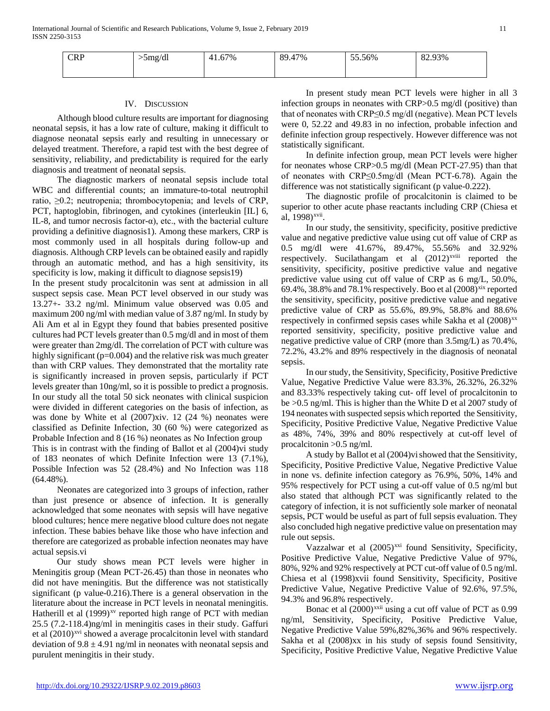| <b>CRP</b> | >5mg/dl | 41.67% | 17%<br>89.47 | 55.56% | 82.93% |
|------------|---------|--------|--------------|--------|--------|
|            |         |        |              |        |        |

#### IV. DISCUSSION

 Although blood culture results are important for diagnosing neonatal sepsis, it has a low rate of culture, making it difficult to diagnose neonatal sepsis early and resulting in unnecessary or delayed treatment. Therefore, a rapid test with the best degree of sensitivity, reliability, and predictability is required for the early diagnosis and treatment of neonatal sepsis.

 The diagnostic markers of neonatal sepsis include total WBC and differential counts; an immature-to-total neutrophil ratio, ≥0.2; neutropenia; thrombocytopenia; and levels of CRP, PCT, haptoglobin, fibrinogen, and cytokines (interleukin [IL] 6, IL-8, and tumor necrosis factor- $\alpha$ ), etc., with the bacterial culture providing a definitive diagnosis1). Among these markers, CRP is most commonly used in all hospitals during follow-up and diagnosis. Although CRP levels can be obtained easily and rapidly through an automatic method, and has a high sensitivity, its specificity is low, making it difficult to diagnose sepsis19)

In the present study procalcitonin was sent at admission in all suspect sepsis case. Mean PCT level observed in our study was 13.27+- 33.2 ng/ml. Minimum value observed was 0.05 and maximum 200 ng/ml with median value of 3.87 ng/ml. In study by Ali Am et al in Egypt they found that babies presented positive cultures had PCT levels greater than 0.5 mg/dl and in most of them were greater than 2mg/dl. The correlation of PCT with culture was highly significant (p=0.004) and the relative risk was much greater than with CRP values. They demonstrated that the mortality rate is significantly increased in proven sepsis, particularly if PCT levels greater than 10ng/ml, so it is possible to predict a prognosis. In our study all the total 50 sick neonates with clinical suspicion were divided in different categories on the basis of infection, as was done by White et al (2007[\)xiv.](#page-1-0) 12 (24 %) neonates were classified as Definite Infection, 30 (60 %) were categorized as Probable Infection and 8 (16 %) neonates as No Infection group This is in contrast with the finding of Ballot et al (2004[\)vi](#page-0-1) study

of 183 neonates of which Definite Infection were 13 (7.1%), Possible Infection was 52 (28.4%) and No Infection was 118 (64.48%).

 Neonates are categorized into 3 groups of infection, rather than just presence or absence of infection. It is generally acknowledged that some neonates with sepsis will have negative blood cultures; hence mere negative blood culture does not negate infection. These babies behave like those who have infection and therefore are categorized as probable infection neonates may have actual sepsis[.vi](#page-0-1)

 Our study shows mean PCT levels were higher in Meningitis group (Mean PCT-26.45) than those in neonates who did not have meningitis. But the difference was not statistically significant (p value-0.216).There is a general observation in the literature about the increase in PCT levels in neonatal meningitis. Hatherill et al  $(1999)^{xy}$  reported high range of PCT with median 25.5 (7.2-118.4)ng/ml in meningitis cases in their study. Gaffuri et al  $(2010)^{xvi}$  $(2010)^{xvi}$  $(2010)^{xvi}$  showed a average procalcitonin level with standard deviation of  $9.8 \pm 4.91$  ng/ml in neonates with neonatal sepsis and purulent meningitis in their study.

 In present study mean PCT levels were higher in all 3 infection groups in neonates with CRP>0.5 mg/dl (positive) than that of neonates with CRP≤0.5 mg/dl (negative). Mean PCT levels were 0, 52.22 and 49.83 in no infection, probable infection and definite infection group respectively. However difference was not statistically significant.

 In definite infection group, mean PCT levels were higher for neonates whose CRP>0.5 mg/dl (Mean PCT-27.95) than that of neonates with CRP≤0.5mg/dl (Mean PCT-6.78). Again the difference was not statistically significant (p value-0.222).

 The diagnostic profile of procalcitonin is claimed to be superior to other acute phase reactants including CRP (Chiesa et al, 1998)<sup>[xvii](#page-6-7)</sup>.

<span id="page-4-0"></span> In our study, the sensitivity, specificity, positive predictive value and negative predictive value using cut off value of CRP as 0.5 mg/dl were 41.67%, 89.47%, 55.56%and 32.92% respectively. Sucilathangam et al  $(2012)^{x}$ <sup>xviii</sup> reported the sensitivity, specificity, positive predictive value and negative predictive value using cut off value of CRP as 6 mg/L, 50.0%, 69.4%, 38.8% and 78.1% respectively. Boo et al  $(2008)^{xix}$  $(2008)^{xix}$  $(2008)^{xix}$  reported the sensitivity, specificity, positive predictive value and negative predictive value of CRP as 55.6%, 89.9%, 58.8% and 88.6% respectively in confirmed sepsis cases while Sakha et al  $(2008)^{xx}$  $(2008)^{xx}$  $(2008)^{xx}$ reported sensitivity, specificity, positive predictive value and negative predictive value of CRP (more than 3.5mg/L) as 70.4%, 72.2%, 43.2% and 89% respectively in the diagnosis of neonatal sepsis.

<span id="page-4-1"></span> In our study, the Sensitivity, Specificity, Positive Predictive Value, Negative Predictive Value were 83.3%, 26.32%, 26.32% and 83.33% respectively taking cut- off level of procalcitonin to be >0.5 ng/ml. This is higher than the White D et al 2007 study of 194 neonates with suspected sepsis which reported the Sensitivity, Specificity, Positive Predictive Value, Negative Predictive Value as 48%, 74%, 39% and 80% respectively at cut-off level of procalcitonin >0.5 ng/ml.

 A study by Ballot et al (2004[\)vis](#page-0-1)howed that the Sensitivity, Specificity, Positive Predictive Value, Negative Predictive Value in none vs. definite infection category as 76.9%, 50%, 14% and 95% respectively for PCT using a cut-off value of 0.5 ng/ml but also stated that although PCT was significantly related to the category of infection, it is not sufficiently sole marker of neonatal sepsis, PCT would be useful as part of full sepsis evaluation. They also concluded high negative predictive value on presentation may rule out sepsis.

Vazzalwar et al (2005)<sup>[xxi](#page-6-11)</sup> found Sensitivity, Specificity, Positive Predictive Value, Negative Predictive Value of 97%, 80%, 92% and 92% respectively at PCT cut-off value of 0.5 ng/ml. Chiesa et al (1998[\)xvii](#page-4-0) found Sensitivity, Specificity, Positive Predictive Value, Negative Predictive Value of 92.6%, 97.5%, 94.3% and 96.8% respectively.

Bonac et al  $(2000)^{xxii}$  $(2000)^{xxii}$  $(2000)^{xxii}$  using a cut off value of PCT as 0.99 ng/ml, Sensitivity, Specificity, Positive Predictive Value, Negative Predictive Value 59%,82%,36% and 96% respectively. Sakha et al (2008[\)xx](#page-4-1) in his study of sepsis found Sensitivity, Specificity, Positive Predictive Value, Negative Predictive Value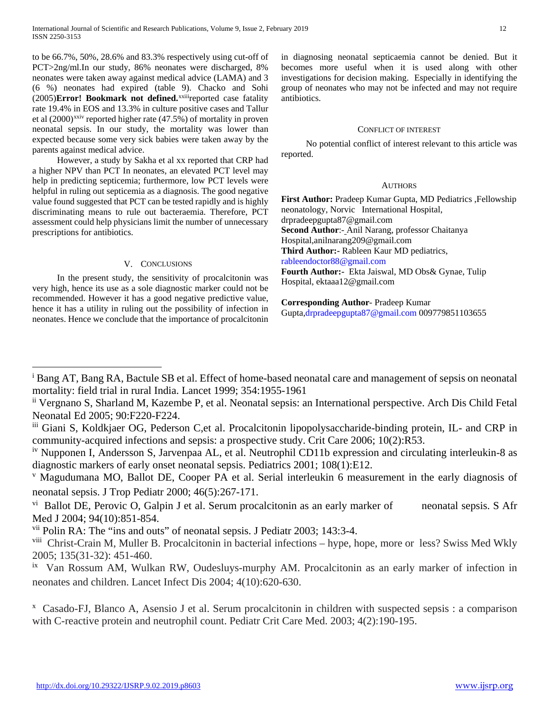to be 66.7%, 50%, 28.6% and 83.3% respectively using cut-off of PCT>2ng/ml.In our study, 86% neonates were discharged, 8% neonates were taken away against medical advice (LAMA) and 3 (6 %) neonates had expired (table 9). Chacko and Sohi (2005)**Error! Bookmark not defined.**xxiiireported case fatality rate 19.4% in EOS and 13.3% in culture positive cases and Tallur et al  $(2000)^{xxiv}$  $(2000)^{xxiv}$  $(2000)^{xxiv}$  reported higher rate  $(47.5%)$  of mortality in proven neonatal sepsis. In our study, the mortality was lower than expected because some very sick babies were taken away by the parents against medical advice.

 However, a study by Sakha et al [xx](#page-4-1) reported that CRP had a higher NPV than PCT In neonates, an elevated PCT level may help in predicting septicemia; furthermore, low PCT levels were helpful in ruling out septicemia as a diagnosis. The good negative value found suggested that PCT can be tested rapidly and is highly discriminating means to rule out bacteraemia. Therefore, PCT assessment could help physicians limit the number of unnecessary prescriptions for antibiotics.

## V. CONCLUSIONS

 In the present study, the sensitivity of procalcitonin was very high, hence its use as a sole diagnostic marker could not be recommended. However it has a good negative predictive value, hence it has a utility in ruling out the possibility of infection in neonates. Hence we conclude that the importance of procalcitonin

 $\overline{a}$ 

in diagnosing neonatal septicaemia cannot be denied. But it becomes more useful when it is used along with other investigations for decision making. Especially in identifying the group of neonates who may not be infected and may not require antibiotics.

#### CONFLICT OF INTEREST

 No potential conflict of interest relevant to this article was reported.

#### **AUTHORS**

**First Author:** Pradeep Kumar Gupta, MD Pediatrics ,Fellowship neonatology, Norvic International Hospital, drpradeepgupta87@gmail.com **Second Author**:- Anil Narang, professor Chaitanya Hospital,anilnarang209@gmail.com **Third Author:-** Rableen Kaur MD pediatrics, [rableendoctor88@gmail.com](mailto:rableendoctor88@gmail.com) **Fourth Author:-** Ekta Jaiswal, MD Obs& Gynae, Tulip Hospital, ektaaa12@gmail.com

**Corresponding Author**- Pradeep Kumar

Gupta[,drpradeepgupta87@gmail.com](mailto:drpradeepgupta87@gmail.com) 009779851103655

<span id="page-5-6"></span><sup>vii</sup> Polin RA: The "ins and outs" of neonatal sepsis. J Pediatr 2003; 143:3-4.

<span id="page-5-0"></span><sup>i</sup> Bang AT, Bang RA, Bactule SB et al. Effect of home-based neonatal care and management of sepsis on neonatal mortality: field trial in rural India. Lancet 1999; 354:1955-1961

<span id="page-5-1"></span>ii Vergnano S, Sharland M, Kazembe P, et al. Neonatal sepsis: an International perspective. Arch Dis Child Fetal Neonatal Ed 2005; 90:F220-F224.

<span id="page-5-2"></span>iii Giani S, Koldkjaer OG, Pederson C,et al. Procalcitonin lipopolysaccharide-binding protein, IL- and CRP in community-acquired infections and sepsis: a prospective study. Crit Care 2006; 10(2):R53.

<span id="page-5-3"></span>iv Nupponen I, Andersson S, Jarvenpaa AL, et al. Neutrophil CD11b expression and circulating interleukin-8 as diagnostic markers of early onset neonatal sepsis. Pediatrics 2001; 108(1):E12.

<span id="page-5-4"></span><sup>v</sup> Magudumana MO, Ballot DE, Cooper PA et al. Serial interleukin 6 measurement in the early diagnosis of neonatal sepsis. J Trop Pediatr 2000; 46(5):267-171.

<span id="page-5-5"></span> $\overline{v}$  Ballot DE, Perovic O, Galpin J et al. Serum procalcitonin as an early marker of neonatal sepsis. S Afr Med J 2004; 94(10):851-854.

<span id="page-5-7"></span>viii Christ-Crain M, Muller B. Procalcitonin in bacterial infections – hype, hope, more or less? Swiss Med Wkly 2005; 135(31-32): 451-460.

<span id="page-5-8"></span><sup>&</sup>lt;sup>ix</sup> Van Rossum AM, Wulkan RW, Oudesluys-murphy AM. Procalcitonin as an early marker of infection in neonates and children. Lancet Infect Dis 2004; 4(10):620-630.

x Casado-FJ, Blanco A, Asensio J et al. Serum procalcitonin in children with suspected sepsis : a comparison with C-reactive protein and neutrophil count. Pediatr Crit Care Med. 2003; 4(2):190-195.